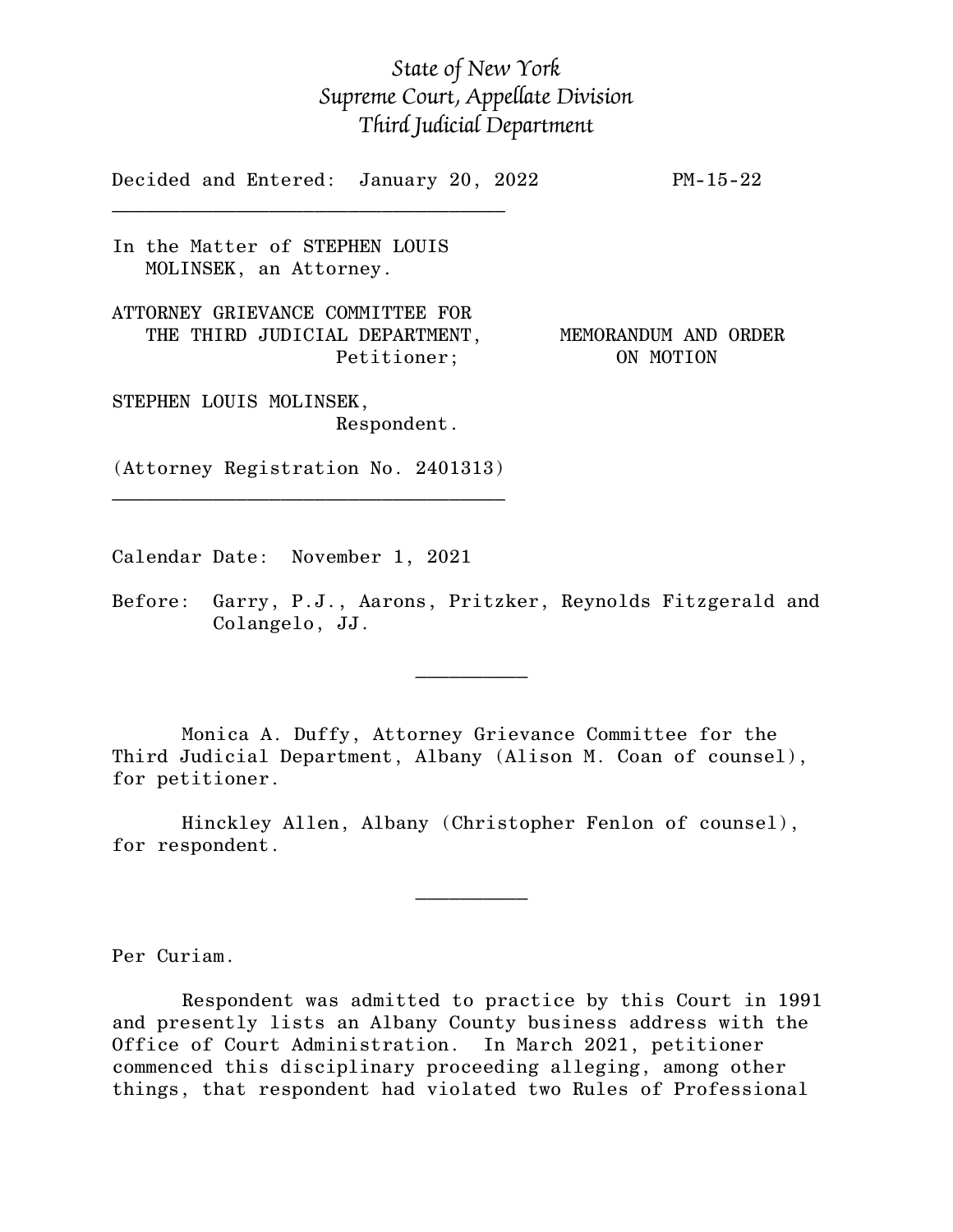## *State of New York Supreme Court, Appellate Division Third Judicial Department*

Decided and Entered: January 20, 2022 PM-15-22

In the Matter of STEPHEN LOUIS MOLINSEK, an Attorney.

 $\mathcal{L}_\text{max}$  , and the set of the set of the set of the set of the set of the set of the set of the set of the set of the set of the set of the set of the set of the set of the set of the set of the set of the set of the

ATTORNEY GRIEVANCE COMMITTEE FOR THE THIRD JUDICIAL DEPARTMENT, MEMORANDUM AND ORDER

Petitioner; ON MOTION

STEPHEN LOUIS MOLINSEK, Respondent.

(Attorney Registration No. 2401313)  $\mathcal{L}_\text{max}$  , and the set of the set of the set of the set of the set of the set of the set of the set of the set of the set of the set of the set of the set of the set of the set of the set of the set of the set of the

Calendar Date: November 1, 2021

 $\mathcal{L}_\text{max}$  and  $\mathcal{L}_\text{max}$  are the set of  $\mathcal{L}_\text{max}$  . The set of  $\mathcal{L}_\text{max}$ 

 $\mathcal{L}_\text{max}$  and  $\mathcal{L}_\text{max}$  are the set of  $\mathcal{L}_\text{max}$  . The set of  $\mathcal{L}_\text{max}$ 

Before: Garry, P.J., Aarons, Pritzker, Reynolds Fitzgerald and Colangelo, JJ.

Monica A. Duffy, Attorney Grievance Committee for the Third Judicial Department, Albany (Alison M. Coan of counsel), for petitioner.

Hinckley Allen, Albany (Christopher Fenlon of counsel), for respondent.

Per Curiam.

Respondent was admitted to practice by this Court in 1991 and presently lists an Albany County business address with the Office of Court Administration. In March 2021, petitioner commenced this disciplinary proceeding alleging, among other things, that respondent had violated two Rules of Professional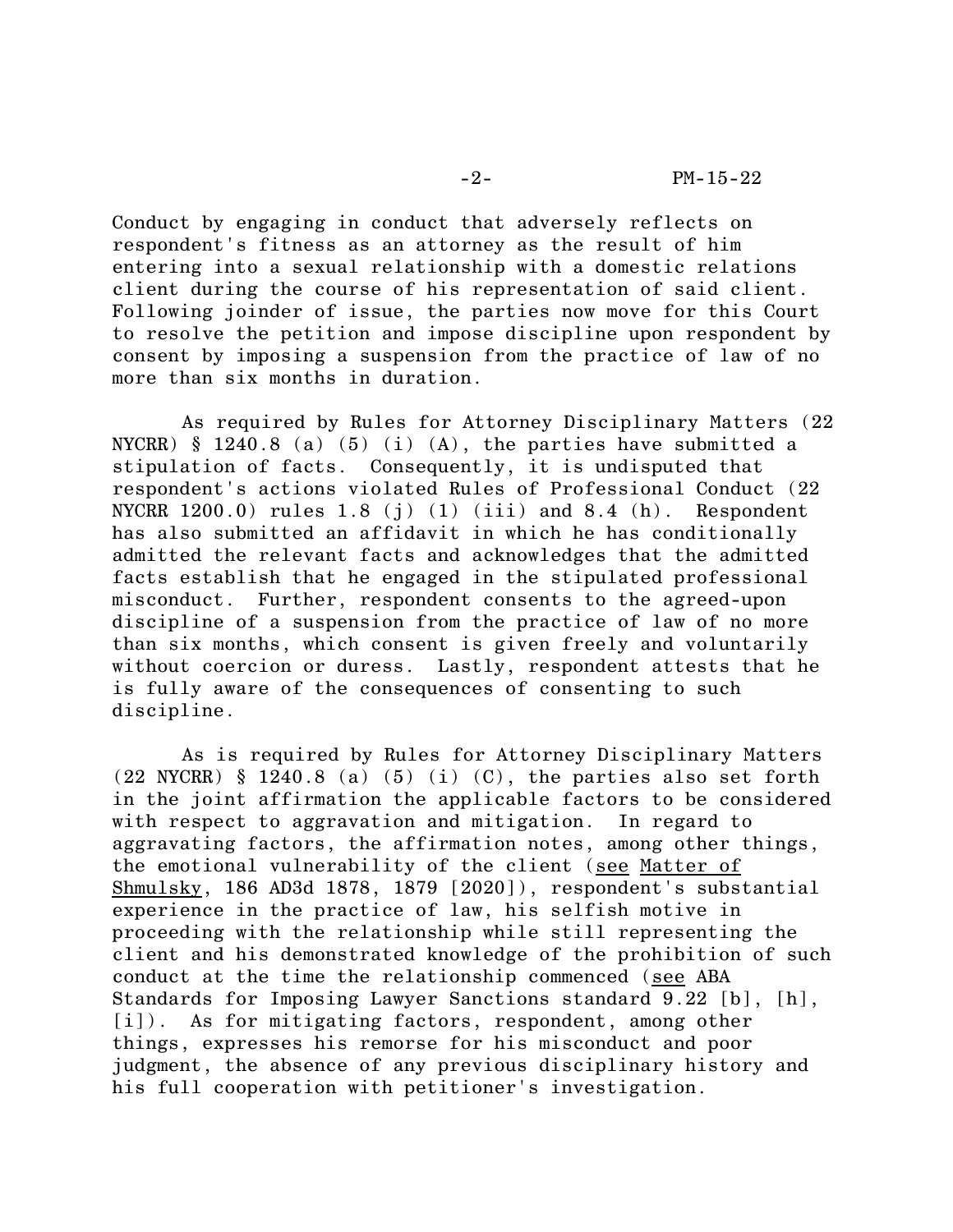Conduct by engaging in conduct that adversely reflects on respondent's fitness as an attorney as the result of him entering into a sexual relationship with a domestic relations client during the course of his representation of said client. Following joinder of issue, the parties now move for this Court to resolve the petition and impose discipline upon respondent by consent by imposing a suspension from the practice of law of no more than six months in duration.

As required by Rules for Attorney Disciplinary Matters (22 NYCRR)  $§$  1240.8 (a) (5) (i) (A), the parties have submitted a stipulation of facts. Consequently, it is undisputed that respondent's actions violated Rules of Professional Conduct (22 NYCRR  $1200.0$  rules  $1.8$  (j)  $(1)$  (iii) and  $8.4$  (h). Respondent has also submitted an affidavit in which he has conditionally admitted the relevant facts and acknowledges that the admitted facts establish that he engaged in the stipulated professional misconduct. Further, respondent consents to the agreed-upon discipline of a suspension from the practice of law of no more than six months, which consent is given freely and voluntarily without coercion or duress. Lastly, respondent attests that he is fully aware of the consequences of consenting to such discipline.

As is required by Rules for Attorney Disciplinary Matters  $(22 NYCRR)$  § 1240.8 (a) (5) (i) (C), the parties also set forth in the joint affirmation the applicable factors to be considered with respect to aggravation and mitigation. In regard to aggravating factors, the affirmation notes, among other things, the emotional vulnerability of the client (see Matter of Shmulsky, 186 AD3d 1878, 1879 [2020]), respondent's substantial experience in the practice of law, his selfish motive in proceeding with the relationship while still representing the client and his demonstrated knowledge of the prohibition of such conduct at the time the relationship commenced (see ABA Standards for Imposing Lawyer Sanctions standard 9.22 [b], [h], [i]). As for mitigating factors, respondent, among other things, expresses his remorse for his misconduct and poor judgment, the absence of any previous disciplinary history and his full cooperation with petitioner's investigation.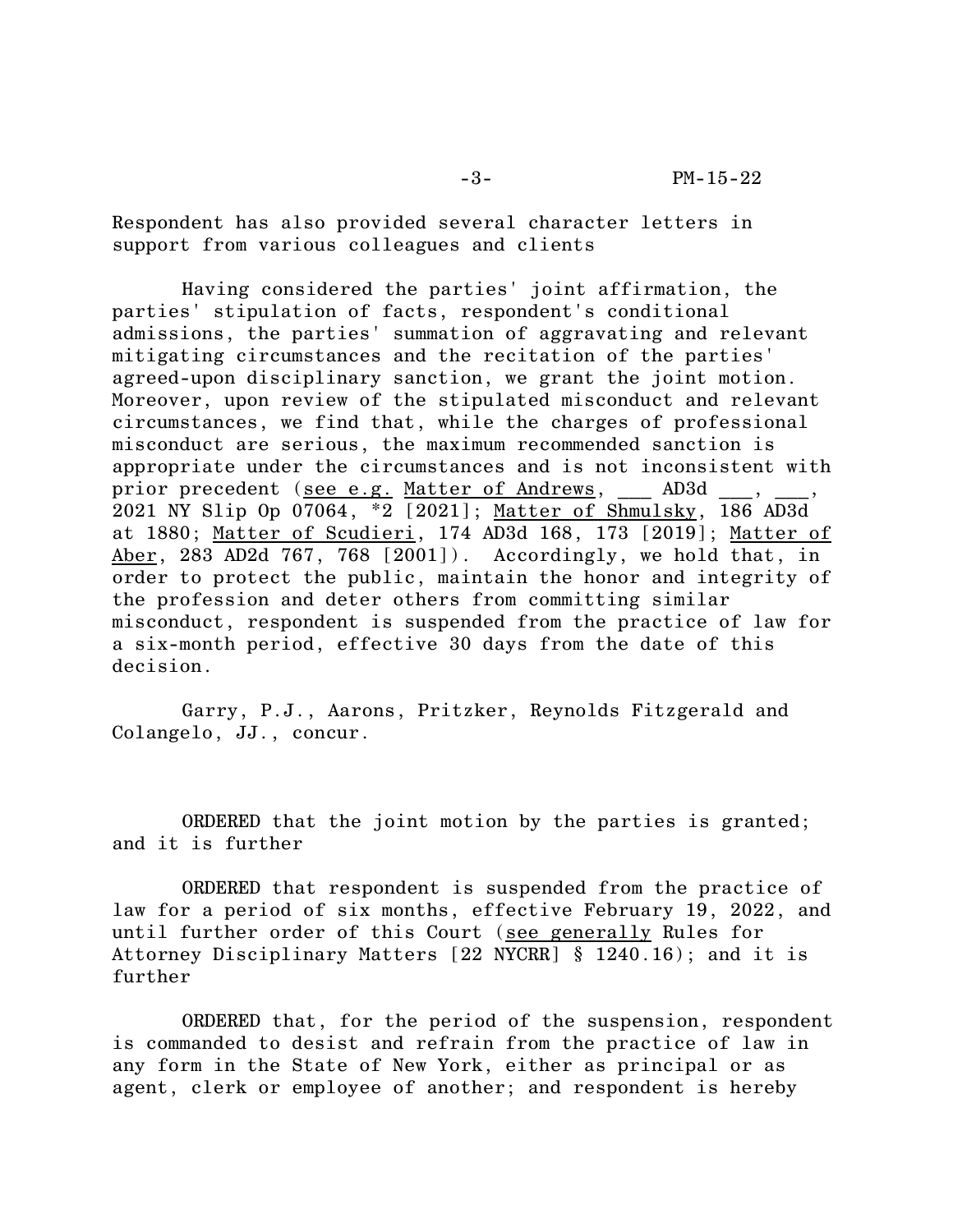Respondent has also provided several character letters in support from various colleagues and clients

Having considered the parties' joint affirmation, the parties' stipulation of facts, respondent's conditional admissions, the parties' summation of aggravating and relevant mitigating circumstances and the recitation of the parties' agreed-upon disciplinary sanction, we grant the joint motion. Moreover, upon review of the stipulated misconduct and relevant circumstances, we find that, while the charges of professional misconduct are serious, the maximum recommended sanction is appropriate under the circumstances and is not inconsistent with prior precedent (see e.g. Matter of Andrews, AD3d 2021 NY Slip Op 07064, \*2 [2021]; Matter of Shmulsky, 186 AD3d at 1880; Matter of Scudieri, 174 AD3d 168, 173 [2019]; Matter of Aber, 283 AD2d 767, 768 [2001]). Accordingly, we hold that, in order to protect the public, maintain the honor and integrity of the profession and deter others from committing similar misconduct, respondent is suspended from the practice of law for a six-month period, effective 30 days from the date of this decision.

Garry, P.J., Aarons, Pritzker, Reynolds Fitzgerald and Colangelo, JJ., concur.

ORDERED that the joint motion by the parties is granted; and it is further

ORDERED that respondent is suspended from the practice of law for a period of six months, effective February 19, 2022, and until further order of this Court (see generally Rules for Attorney Disciplinary Matters [22 NYCRR] § 1240.16); and it is further

ORDERED that, for the period of the suspension, respondent is commanded to desist and refrain from the practice of law in any form in the State of New York, either as principal or as agent, clerk or employee of another; and respondent is hereby